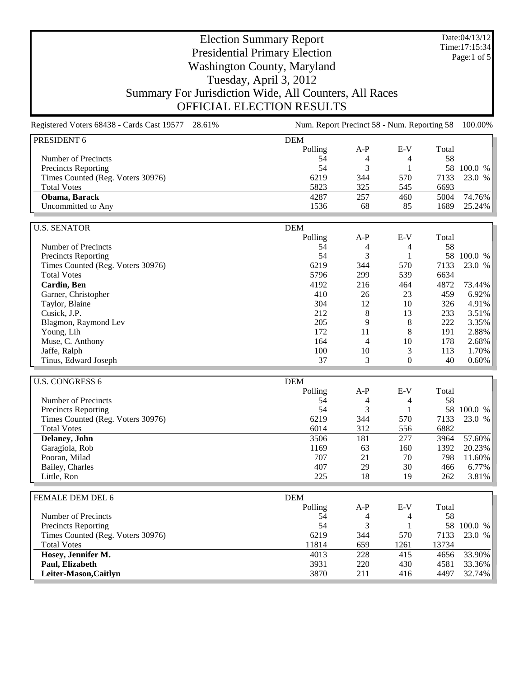Date:04/13/12 Time:17:15:34 Page:1 of 5

## Election Summary Report Presidential Primary Election Washington County, Maryland Tuesday, April 3, 2012 Summary For Jurisdiction Wide, All Counters, All Races OFFICIAL ELECTION RESULTS

Registered Voters 68438 - Cards Cast 19577 28.61% Num. Report Precinct 58 - Num. Reporting 58 100.00% PRESIDENT 6 DEM Polling A-P E-V Total Number of Precincts 58 54 4 58 Precincts Reporting 54 3 1 58 100.0 % Times Counted (Reg. Voters 30976) 6219 344 570 7133 23.0 % Total Votes 6693 5823 545 6693 **Obama, Barack** 4287 257 460 5004 74.76%<br>
Uncommitted to Any 1536 68 85 1689 25.24% Uncommitted to Any 1536 68 U.S. SENATOR DEM Polling A-P E-V Total Number of Precincts<br>
Precincts Reporting<br>
Sa 3 1 58 100.0 % Precincts Reporting 54 3 1 58 100.0 %<br>
Times Counted (Reg. Voters 30976) 6219 344 570 7133 23.0 % Times Counted (Reg. Voters 30976) 6219 6219 344 570 7133 Total Votes 6634 **5796** 299 539 6634 **Cardin, Ben Cardin, Ben 1192** 216 464 4872 73.44% Garner, Christopher 10 26 23 459 6.92%<br>
Taylor Blaine 12 10 326 491% Paylor, Blaine 304 12 10 326 4.91%<br>
Cusick, J.P. 212 8 13 233 3.51% Cusick, J.P. 212 8 13 233 3.51% Blagmon, Raymond Lev 205 9 8 222 3.35% Young, Lih 172 11 8 191 2.88% Muse, C. Anthony 164 10 178 2.68% Jaffe, Ralph 100 10 3 113 1.70% Tinus, Edward Joseph 37 3 0 40 0.60% U.S. CONGRESS 6 DEM Polling A-P E-V Total<br>54 4 4 58 Number of Precincts  $5\overline{4}$  4  $4$  58 Precincts Reporting 54 3 1 58 100.0 %<br>
Times Counted (Reg. Voters 30976) 6219 344 570 7133 23.0 % Times Counted (Reg. Voters 30976) 6219 6219 344 570 7133<br>Total Votes 6882 Total Votes 6014 312 556 6882 **Delaney, John** 3506 181 277 3964 57.60% Garagiola, Rob 3506 1169 63 160 1392 20.23% Garagiola, Rob 1392 20.23% Pooran, Milad 1988 11.60% and the contract of the contract of the contract of the contract of the contract of the contract of the contract of the contract of the contract of the contract of the contract of the contract of Bailey, Charles 6.77% and the state of the state 407 407 30 466 6.77% Little, Ron 225 18 19 262 3.81% FEMALE DEM DEL 6 DEM Polling A-P E-V Total Number of Precincts 58 54 4 58 Precincts Reporting 54 3 1 58 100.0 % Times Counted (Reg. Voters 30976) 6219 6219 344 570 7133 23.0 % Total Votes 11814 659 1261 13734 **Hosey, Jennifer M.** 4013 228 415 4656 33.90% **Paul, Elizabeth** 33.36%<br> **Leiter-Mason,Caitlyn** 220 430 4581 33.36%<br> **Leiter-Mason,Caitlyn** 3870 211 416 4497 32.74% **Leiter-Mason,Caitlyn** 3870 211 416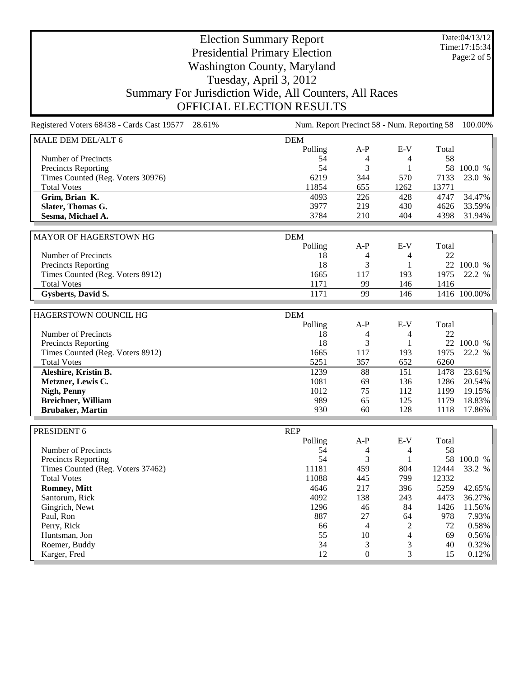Date:04/13/12 Time:17:15:34 Page:2 of 5

## Election Summary Report Presidential Primary Election Washington County, Maryland Tuesday, April 3, 2012 Summary For Jurisdiction Wide, All Counters, All Races OFFICIAL ELECTION RESULTS

Registered Voters 68438 - Cards Cast 19577 28.61% Num. Report Precinct 58 - Num. Reporting 58 100.00% MALE DEM DEL/ALT 6 DEM Polling A-P E-V Total Number of Precincts 58 and 58 54 4 58 Precincts Reporting 54 3 1 58 100.0 % Times Counted (Reg. Voters 30976) 6219 344 570 7133 23.0 % Total Votes 11854 655 1262 13771 **Grim, Brian K.**<br> **Grim, Brian K.**<br> **Glater, Thomas G.**<br> **Glater, Thomas G.**<br> **Glater, Thomas G.**<br> **C.**<br> **C.**<br> **C.**<br> **C.**<br> **C.**<br> **C.**<br> **C.**<br> **C.**<br> **C.**<br> **C.**<br> **C.**<br> **C.**<br> **C.**<br> **C.**<br> **C.**<br> **C.**<br> **C.**<br> **C.**<br> **C.**<br> **C.**<br> **C. Slater, Thomas G.** 3977 219 **Sesma, Michael A.** 3784 210 404 4398 31.94% MAYOR OF HAGERSTOWN HG
DEM Polling A-P E-V Total Number of Precincts<br>
Precincts Reporting<br>
18 4 4 22<br>
18 3 1 22 100.0 % Precincts Reporting 18 3 1 22 100.0 %<br>
Times Counted (Reg. Voters 8912) 1665 117 193 1975 22.2 % Times Counted (Reg. Voters 8912) Total Votes 1171 99 146 1416 **Gysberts, David S.** 1171 99 146 1416 100.00% HAGERSTOWN COUNCIL HG DEM Polling A-P E-V Total Number of Precincts<br>
Precincts Reporting<br>
18 4 4 22<br>
18 3 1 22 100.0 % Precincts Reporting 18 3 1 22 100.0 %<br>
Times Counted (Reg. Voters 8912) 1665 117 193 1975 22.2 % Times Counted (Reg. Voters 8912) 1665 117 Total Votes 5251 357 652 6260 **Aleshire, Kristin B.** 1239 88 151 1478 23.61% **Metzner, Lewis C.** 1081 69 136 1286 20.54% **Nigh, Penny** 1012 112 1199 19.15% **Breichner, William 18.83%**<br> **Brubaker, Martin 17.86%**<br> **Brubaker, Martin** 17.86% **Brubaker, Martin** PRESIDENT 6 REP Polling A-P E-V Total Number of Precincts 58 54 4 58 Precincts Reporting 54 3 1 58 100.0 % Times Counted (Reg. Voters 37462) 11181 459 804 12444 33.2 %<br>
Total Votes 11088 445 799 12332 Total Votes 11088 445 799 12332 **Romney, Mitt and Romney, Mitt 1646** 217 396 5259 42.65% Santorum, Rick 4092 138 243 4473 36.27% Gingrich, Newt 1296 46 84 1426 11.56% Paul, Ron 887 27 64 978 7.93% Perry, Rick 2 72 0.58% Huntsman, Jon 55 10 4 69 0.56% Roemer, Buddy 6.32% Karger, Fred 12 0 3 15 0.12%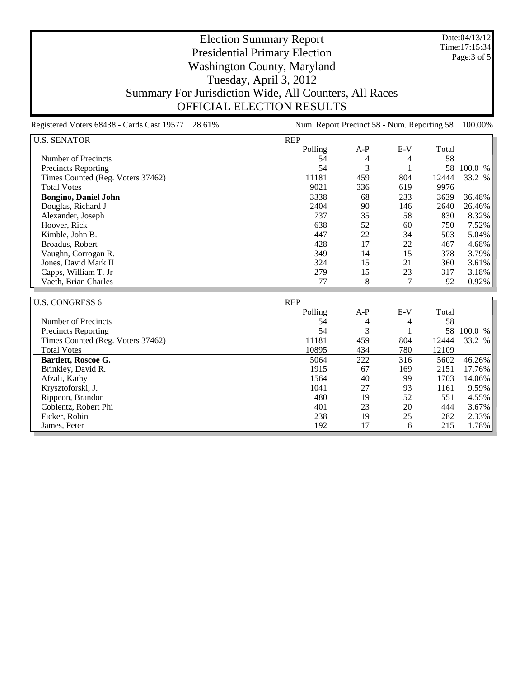Date:04/13/12 Time:17:15:34 Page:3 of 5

## Election Summary Report Presidential Primary Election Washington County, Maryland Tuesday, April 3, 2012 Summary For Jurisdiction Wide, All Counters, All Races OFFICIAL ELECTION RESULTS

Registered Voters 68438 - Cards Cast 19577 28.61% Num. Report Precinct 58 - Num. Reporting 58 100.00% U.S. SENATOR REP Polling A-P E-V Total Number of Precincts<br>
Precincts Reporting<br>
Sa 3 1 58 100.0 % Precincts Reporting 54 3 1 Times Counted (Reg. Voters 37462) 11181 459 804 12444 33.2 % Total Votes 9021 336 619 9976 **Bongino, Daniel John** 3338 68 233 3639 36.48% Douglas, Richard J<br>
2404 90 146 2640 26.46% Douglas, Richard J Alexander, Joseph 737 35 58 830 8.32% Hoover, Rick 638 52 60 750 7.52% Kimble, John B. 5.04% Broadus, Robert 128 17 22 467 4.68%<br>
Vaughn, Corrogan R. (1990) 14 5 378 3.79% Vaughn, Corrogan R. (2012) 14 15 378 3.79% 14 15 378 3.79% 14 5 378 3.79% 14 5 378 3.79% 15 378 3.79% 15 378 3.79% Jones, David Mark II Capps, William T. Jr 279 15 23 317 3.18% Vaeth, Brian Charles 77 8 7 92 0.92% U.S. CONGRESS 6 REP Polling A-P E-V Total Number of Precincts<br>
Precincts Reporting<br>
Sa 3 1 58 100.0 % Precincts Reporting 54 3 1 58 100.0 %<br>Times Counted (Reg. Voters 37462) 11181 459 804 12444 33.2 % Times Counted (Reg. Voters 37462) 11181 459 804 12444 Total Votes 10895 434 780 12109 **Bartlett, Roscoe G.** 6502 **5064 222** 316 5602 46.26% Brinkley, David R. 1915 67 169 2151 17.76%<br>Afzali, Kathy 1564 40 99 1703 14.06% Afzali, Kathy 1564 1564 1699 1703 14.06% Krysztoforski, J. 1041 27 93 1161 9.59% Rippeon, Brandon 480 19 52 551 4.55% Coblentz, Robert Phi 401 23 20 444 3.67%

Ficker, Robin 238 19 25 282 2.33% James, Peter 215 1.78% and the set of the set of the set of the 192 17 6 215 1.78%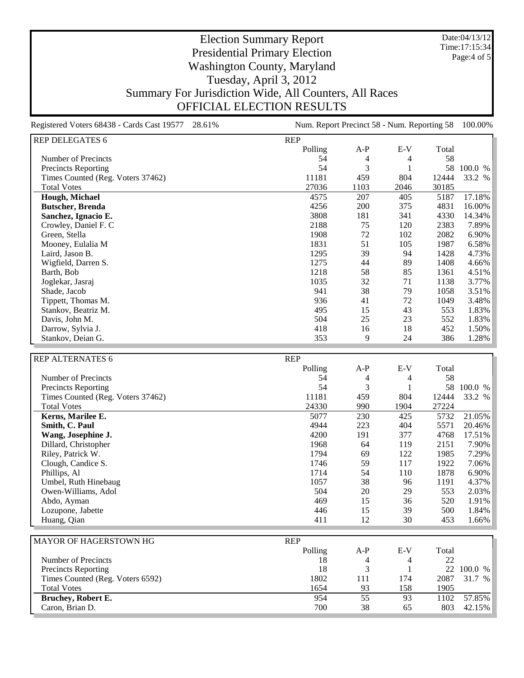Date:04/13/12 Time:17:15:34 Page:4 of 5

## Election Summary Report Presidential Primary Election Washington County, Maryland Tuesday, April 3, 2012 Summary For Jurisdiction Wide, All Counters, All Races OFFICIAL ELECTION RESULTS

Registered Voters 68438 - Cards Cast 19577 28.61% Num. Report Precinct 58 - Num. Reporting 58 100.00% REPORTED A TELECATER 6

| KEP DELEGATES 6                   | <b>KFL</b> |       |       |       |         |
|-----------------------------------|------------|-------|-------|-------|---------|
|                                   | Polling    | $A-P$ | $E-V$ | Total |         |
| Number of Precincts               | 54         | 4     | 4     | 58    |         |
| Precincts Reporting               | 54         | 3     |       | 58    | 100.0 % |
| Times Counted (Reg. Voters 37462) | 11181      | 459   | 804   | 12444 | 33.2 %  |
| <b>Total Votes</b>                | 27036      | 1103  | 2046  | 30185 |         |
| Hough, Michael                    | 4575       | 207   | 405   | 5187  | 17.18%  |
| <b>Butscher, Brenda</b>           | 4256       | 200   | 375   | 4831  | 16.00%  |
| Sanchez, Ignacio E.               | 3808       | 181   | 341   | 4330  | 14.34%  |
| Crowley, Daniel F. C              | 2188       | 75    | 120   | 2383  | 7.89%   |
| Green, Stella                     | 1908       | 72    | 102   | 2082  | 6.90%   |
| Mooney, Eulalia M                 | 1831       | 51    | 105   | 1987  | 6.58%   |
| Laird, Jason B.                   | 1295       | 39    | 94    | 1428  | 4.73%   |
| Wigfield, Darren S.               | 1275       | 44    | 89    | 1408  | 4.66%   |
| Barth, Bob                        | 1218       | 58    | 85    | 1361  | 4.51%   |
| Joglekar, Jasraj                  | 1035       | 32    | 71    | 1138  | 3.77%   |
| Shade, Jacob                      | 941        | 38    | 79    | 1058  | 3.51%   |
| Tippett, Thomas M.                | 936        | 41    | 72    | 1049  | 3.48%   |
| Stankov, Beatriz M.               | 495        | 15    | 43    | 553   | 1.83%   |
| Davis, John M.                    | 504        | 25    | 23    | 552   | 1.83%   |
| Darrow, Sylvia J.                 | 418        | 16    | 18    | 452   | 1.50%   |
| Stankov, Deian G.                 | 353        | 9     | 24    | 386   | 1.28%   |

| <b>REP ALTERNATES 6</b>           | <b>REP</b> |                |       |       |         |
|-----------------------------------|------------|----------------|-------|-------|---------|
|                                   | Polling    | $A-P$          | $E-V$ | Total |         |
| Number of Precincts               | 54         | 4              | 4     | 58    |         |
| Precincts Reporting               | 54         | 3              |       | 58    | 100.0 % |
| Times Counted (Reg. Voters 37462) | 11181      | 459            | 804   | 12444 | 33.2 %  |
| <b>Total Votes</b>                | 24330      | 990            | 1904  | 27224 |         |
| Kerns, Marilee E.                 | 5077       | 230            | 425   | 5732  | 21.05%  |
| Smith, C. Paul                    | 4944       | 223            | 404   | 5571  | 20.46%  |
| Wang, Josephine J.                | 4200       | 191            | 377   | 4768  | 17.51%  |
| Dillard, Christopher              | 1968       | 64             | 119   | 2151  | 7.90%   |
| Riley, Patrick W.                 | 1794       | 69             | 122   | 1985  | 7.29%   |
| Clough, Candice S.                | 1746       | 59             | 117   | 1922  | 7.06%   |
| Phillips, Al                      | 1714       | 54             | 110   | 1878  | 6.90%   |
| Umbel, Ruth Hinebaug              | 1057       | 38             | 96    | 1191  | 4.37%   |
| Owen-Williams, Adol               | 504        | 20             | 29    | 553   | 2.03%   |
| Abdo, Ayman                       | 469        | 15             | 36    | 520   | 1.91%   |
| Lozupone, Jabette                 | 446        | 15             | 39    | 500   | 1.84%   |
| Huang, Qian                       | 411        | 12             | 30    | 453   | 1.66%   |
|                                   |            |                |       |       |         |
| MAYOR OF HAGERSTOWN HG            | <b>REP</b> |                |       |       |         |
|                                   | Polling    | $A-P$          | $E-V$ | Total |         |
| Number of Precincts               | 18         | 4              | 4     | 22    |         |
| Precincts Reporting               | 18         | $\overline{3}$ |       | 22    | 100.0 % |
| Times Counted (Reg. Voters 6592)  | 1802       | 111            | 174   | 2087  | 31.7 %  |
| <b>Total Votes</b>                | 1654       | 93             | 158   | 1905  |         |
| Bruchey, Robert E.                | 954        | 55             | 93    | 1102  | 57.85%  |
| Caron, Brian D.                   | 700        | 38             | 65    | 803   | 42.15%  |